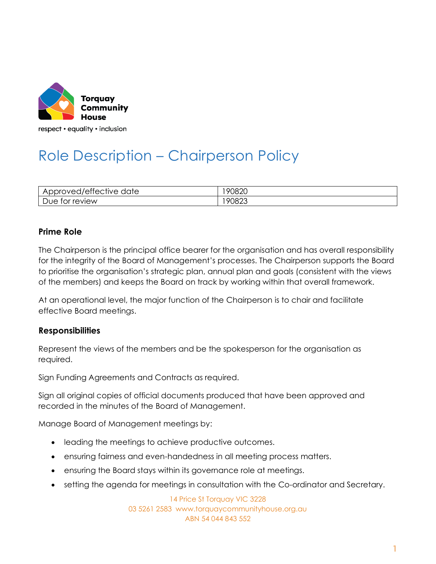

respect • equality • inclusion

# Role Description – Chairperson Policy

| $\sim$<br>/ettective<br>'oto<br>$\overline{\phantom{a}}$<br>∼<br>$\overline{\phantom{a}}$<br>$\overline{M}$<br>laie<br>ັ<br>$\sim$<br>◡ | <b>OU8JU</b><br>≺ו<br>$\sim$ $\sim$ |
|-----------------------------------------------------------------------------------------------------------------------------------------|-------------------------------------|
| review                                                                                                                                  | oc                                  |
| $\overline{\phantom{a}}$                                                                                                                | 7۲.                                 |
| .OL                                                                                                                                     | ັ                                   |
| ັ                                                                                                                                       | $\sim$                              |

## **Prime Role**

The Chairperson is the principal office bearer for the organisation and has overall responsibility for the integrity of the Board of Management's processes. The Chairperson supports the Board to prioritise the organisation's strategic plan, annual plan and goals (consistent with the views of the members) and keeps the Board on track by working within that overall framework.

At an operational level, the major function of the Chairperson is to chair and facilitate effective Board meetings.

## **Responsibilities**

Represent the views of the members and be the spokesperson for the organisation as required.

Sign Funding Agreements and Contracts as required.

Sign all original copies of official documents produced that have been approved and recorded in the minutes of the Board of Management.

Manage Board of Management meetings by:

- leading the meetings to achieve productive outcomes.
- ensuring fairness and even-handedness in all meeting process matters.
- ensuring the Board stays within its governance role at meetings.
- setting the agenda for meetings in consultation with the Co-ordinator and Secretary.

14 Price St Torquay VIC 3228 03 5261 2583 www.torquaycommunityhouse.org.au ABN 54 044 843 552